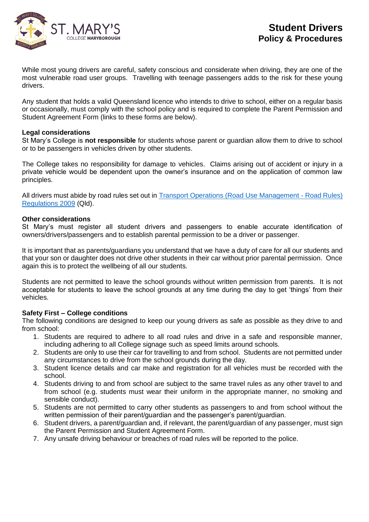

While most young drivers are careful, safety conscious and considerate when driving, they are one of the most vulnerable road user groups. Travelling with teenage passengers adds to the risk for these young drivers.

Any student that holds a valid Queensland licence who intends to drive to school, either on a regular basis or occasionally, must comply with the school policy and is required to complete the Parent Permission and Student Agreement Form (links to these forms are below).

## **Legal considerations**

St Mary's College is **not responsible** for students whose parent or guardian allow them to drive to school or to be passengers in vehicles driven by other students.

The College takes no responsibility for damage to vehicles. Claims arising out of accident or injury in a private vehicle would be dependent upon the owner's insurance and on the application of common law principles.

All drivers must abide by road rules set out in **[Transport Operations \(Road Use Management -](https://www.legislation.qld.gov.au/view/html/inforce/current/sl-2009-0194) Road Rules)** [Regulations 2009](https://www.legislation.qld.gov.au/view/html/inforce/current/sl-2009-0194) (Qld).

## **Other considerations**

St Mary's must register all student drivers and passengers to enable accurate identification of owners/drivers/passengers and to establish parental permission to be a driver or passenger.

It is important that as parents/guardians you understand that we have a duty of care for all our students and that your son or daughter does not drive other students in their car without prior parental permission. Once again this is to protect the wellbeing of all our students.

Students are not permitted to leave the school grounds without written permission from parents. It is not acceptable for students to leave the school grounds at any time during the day to get 'things' from their vehicles.

## **Safety First – College conditions**

The following conditions are designed to keep our young drivers as safe as possible as they drive to and from school:

- 1. Students are required to adhere to all road rules and drive in a safe and responsible manner, including adhering to all College signage such as speed limits around schools.
- 2. Students are only to use their car for travelling to and from school. Students are not permitted under any circumstances to drive from the school grounds during the day.
- 3. Student licence details and car make and registration for all vehicles must be recorded with the school.
- 4. Students driving to and from school are subject to the same travel rules as any other travel to and from school (e.g. students must wear their uniform in the appropriate manner, no smoking and sensible conduct).
- 5. Students are not permitted to carry other students as passengers to and from school without the written permission of their parent/guardian and the passenger's parent/guardian.
- 6. Student drivers, a parent/guardian and, if relevant, the parent/guardian of any passenger, must sign the Parent Permission and Student Agreement Form.
- 7. Any unsafe driving behaviour or breaches of road rules will be reported to the police.